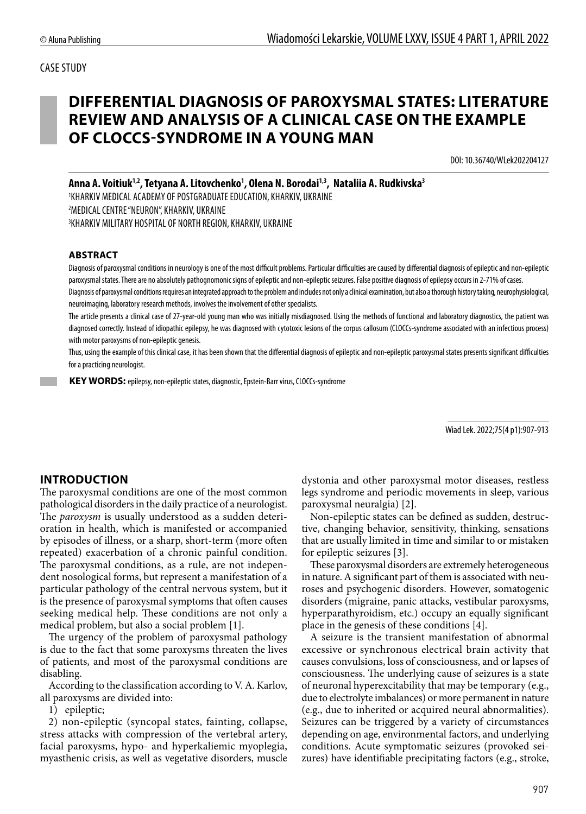# **DIFFERENTIAL DIAGNOSIS OF PAROXYSMAL STATES: LITERATURE REVIEW AND ANALYSIS OF A CLINICAL CASE ON THE EXAMPLE OF CLOCCS-SYNDROME IN A YOUNG MAN**

DOI: 10.36740/WLek202204127

Anna A. Voitiuk<sup>1,2</sup>, Tetyana A. Litovchenko<sup>1</sup>, Olena N. Borodai<sup>1,3</sup>, Nataliia A. Rudkivska<sup>3</sup>

1 KHARKIV MEDICAL ACADEMY OF POSTGRADUATE EDUCATION, KHARKIV, UKRAINE 2 MEDICAL CENTRE "NEURON", KHARKIV, UKRAINE 3 KHARKIV MILITARY HOSPITAL OF NORTH REGION, KHARKIV, UKRAINE

#### **ABSTRACT**

Diagnosis of paroxysmal conditions in neurology is one of the most difficult problems. Particular difficulties are caused by differential diagnosis of epileptic and non-epileptic paroxysmal states. There are no absolutely pathognomonic signs of epileptic and non-epileptic seizures. False positive diagnosis of epilepsy occurs in 2-71% of cases.

Diagnosis of paroxysmal conditions requires an integrated approach to the problem and includes not only a clinical examination, but also a thorough history taking, neurophysiological, neuroimaging, laboratory research methods, involves the involvement of other specialists.

The article presents a clinical case of 27-year-old young man who was initially misdiagnosed. Using the methods of functional and laboratory diagnostics, the patient was diagnosed correctly. Instead of idiopathic epilepsy, he was diagnosed with cytotoxic lesions of the corpus callosum (CLOCCs-syndrome associated with an infectious process) with motor paroxysms of non-epileptic genesis.

Thus, using the example of this clinical case, it has been shown that the differential diagnosis of epileptic and non-epileptic paroxysmal states presents significant difficulties for a practicing neurologist.

 **KEY WORDS:** epilepsy, non-epileptic states, diagnostic, Epstein-Barr virus, CLOCCs-syndrome

Wiad Lek. 2022;75(4 p1):907-913

### **INTRODUCTION**

The paroxysmal conditions are one of the most common pathological disorders in the daily practice of a neurologist. The *paroxysm* is usually understood as a sudden deterioration in health, which is manifested or accompanied by episodes of illness, or a sharp, short-term (more often repeated) exacerbation of a chronic painful condition. The paroxysmal conditions, as a rule, are not independent nosological forms, but represent a manifestation of a particular pathology of the central nervous system, but it is the presence of paroxysmal symptoms that often causes seeking medical help. These conditions are not only a medical problem, but also a social problem [1].

The urgency of the problem of paroxysmal pathology is due to the fact that some paroxysms threaten the lives of patients, and most of the paroxysmal conditions are disabling.

According to the classification according to V. A. Karlov, all paroxysms are divided into:

1) epileptic;

2) non-epileptic (syncopal states, fainting, collapse, stress attacks with compression of the vertebral artery, facial paroxysms, hypo- and hyperkaliemic myoplegia, myasthenic crisis, as well as vegetative disorders, muscle dystonia and other paroxysmal motor diseases, restless legs syndrome and periodic movements in sleep, various paroxysmal neuralgia) [2].

Non-epileptic states can be defined as sudden, destructive, changing behavior, sensitivity, thinking, sensations that are usually limited in time and similar to or mistaken for epileptic seizures [3].

These paroxysmal disorders are extremely heterogeneous in nature. A significant part of them is associated with neuroses and psychogenic disorders. However, somatogenic disorders (migraine, panic attacks, vestibular paroxysms, hyperparathyroidism, etc.) occupy an equally significant place in the genesis of these conditions [4].

A seizure is the transient manifestation of abnormal excessive or synchronous electrical brain activity that causes convulsions, loss of consciousness, and or lapses of consciousness. The underlying cause of seizures is a state of neuronal hyperexcitability that may be temporary (e.g., due to electrolyte imbalances) or more permanent in nature (e.g., due to inherited or acquired neural abnormalities). Seizures can be triggered by a variety of circumstances depending on age, environmental factors, and underlying conditions. Acute symptomatic seizures (provoked seizures) have identifiable precipitating factors (e.g., stroke,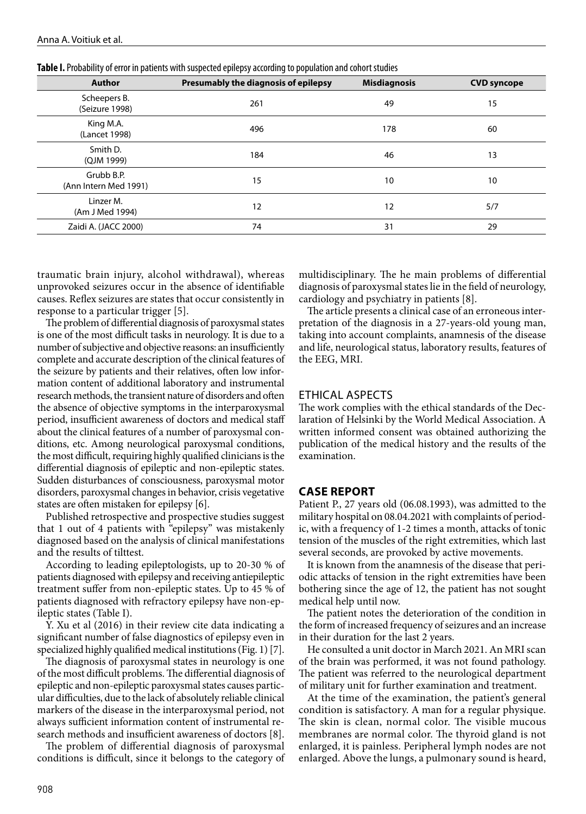| <b>Author</b>                       | Presumably the diagnosis of epilepsy | <b>Misdiagnosis</b> | <b>CVD syncope</b> |
|-------------------------------------|--------------------------------------|---------------------|--------------------|
| Scheepers B.<br>(Seizure 1998)      | 261                                  | 49                  | 15                 |
| King M.A.<br>(Lancet 1998)          | 496                                  | 178                 | 60                 |
| Smith D.<br>(QJM 1999)              | 184                                  | 46                  | 13                 |
| Grubb B.P.<br>(Ann Intern Med 1991) | 15                                   | 10                  | 10                 |
| Linzer M.<br>(Am J Med 1994)        | 12                                   | 12                  | 5/7                |
| Zaidi A. (JACC 2000)                | 74                                   | 31                  | 29                 |

**Table I.** Probability of error in patients with suspected epilepsy according to population and cohort studies

traumatic brain injury, alcohol withdrawal), whereas unprovoked seizures occur in the absence of identifiable causes. Reflex seizures are states that occur consistently in response to a particular trigger [5].

The problem of differential diagnosis of paroxysmal states is one of the most difficult tasks in neurology. It is due to a number of subjective and objective reasons: an insufficiently complete and accurate description of the clinical features of the seizure by patients and their relatives, often low information content of additional laboratory and instrumental research methods, the transient nature of disorders and often the absence of objective symptoms in the interparoxysmal period, insufficient awareness of doctors and medical staff about the clinical features of a number of paroxysmal conditions, etc. Among neurological paroxysmal conditions, the most difficult, requiring highly qualified clinicians is the differential diagnosis of epileptic and non-epileptic states. Sudden disturbances of consciousness, paroxysmal motor disorders, paroxysmal changes in behavior, crisis vegetative states are often mistaken for epilepsy [6].

Published retrospective and prospective studies suggest that 1 out of 4 patients with "epilepsy" was mistakenly diagnosed based on the analysis of clinical manifestations and the results of tilttest.

According to leading epileptologists, up to 20-30 % of patients diagnosed with epilepsy and receiving antiepileptic treatment suffer from non-epileptic states. Up to 45 % of patients diagnosed with refractory epilepsy have non-epileptic states (Table I).

Y. Xu et al (2016) in their review cite data indicating a significant number of false diagnostics of epilepsy even in specialized highly qualified medical institutions (Fig. 1) [7].

The diagnosis of paroxysmal states in neurology is one of the most difficult problems. The differential diagnosis of epileptic and non-epileptic paroxysmal states causes particular difficulties, due to the lack of absolutely reliable clinical markers of the disease in the interparoxysmal period, not always sufficient information content of instrumental research methods and insufficient awareness of doctors [8].

The problem of differential diagnosis of paroxysmal conditions is difficult, since it belongs to the category of multidisciplinary. The he main problems of differential diagnosis of paroxysmal states lie in the field of neurology, cardiology and psychiatry in patients [8].

The article presents a clinical case of an erroneous interpretation of the diagnosis in a 27-years-old young man, taking into account complaints, anamnesis of the disease and life, neurological status, laboratory results, features of the EEG, MRI.

#### ETHICAL ASPECTS

The work complies with the ethical standards of the Declaration of Helsinki by the World Medical Association. A written informed consent was obtained authorizing the publication of the medical history and the results of the examination.

#### **CASE REPORT**

Patient P., 27 years old (06.08.1993), was admitted to the military hospital on 08.04.2021 with complaints of periodic, with a frequency of 1-2 times a month, attacks of tonic tension of the muscles of the right extremities, which last several seconds, are provoked by active movements.

It is known from the anamnesis of the disease that periodic attacks of tension in the right extremities have been bothering since the age of 12, the patient has not sought medical help until now.

The patient notes the deterioration of the condition in the form of increased frequency of seizures and an increase in their duration for the last 2 years.

He consulted a unit doctor in March 2021. An MRI scan of the brain was performed, it was not found pathology. The patient was referred to the neurological department of military unit for further examination and treatment.

At the time of the examination, the patient's general condition is satisfactory. A man for a regular physique. The skin is clean, normal color. The visible mucous membranes are normal color. The thyroid gland is not enlarged, it is painless. Peripheral lymph nodes are not enlarged. Above the lungs, a pulmonary sound is heard,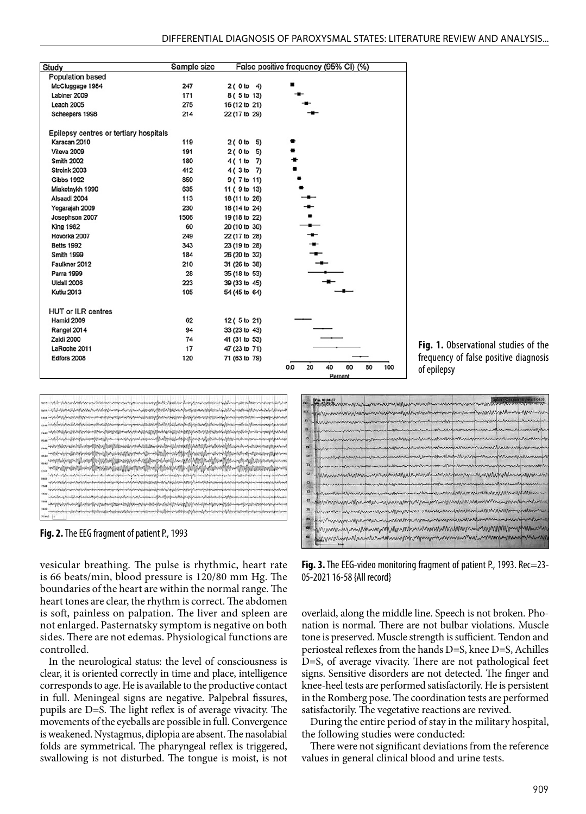| Study                                  | Sample size |               | False positive frequency (95% CI) (%)     |
|----------------------------------------|-------------|---------------|-------------------------------------------|
| <b>Population based</b>                |             |               |                                           |
| McCluggage 1984                        | 247         | 2(0 to 4)     |                                           |
| Labiner 2009                           | 171         | 8 ( 5 to 13)  |                                           |
| <b>Leach 2005</b>                      | 275         | 16 (12 to 21) |                                           |
| Scheepers 1998                         | 214         | 22 (17 to 29) |                                           |
| Epilepsy centres or tertiary hospitals |             |               |                                           |
| Karacan 2010                           | 119         | 2(0 to 5)     |                                           |
| Viteva 2009                            | 191         | 2(0 to 5)     |                                           |
| <b>Smith 2002</b>                      | 180         | 4(1 to 7)     |                                           |
| Stroink 2003                           | 412         | 4(3 to 7)     |                                           |
| Gibbs 1992                             | 850         | 9 (7 to 11)   |                                           |
| Miakotnykh 1990                        | 635         | 11 (9 to 13)  |                                           |
| Alsaadi 2004                           | 113         | 18 (11 to 26) |                                           |
| Yogarajah 2009                         | 230         | 18 (14 to 24) |                                           |
| Josephson 2007                         | 1506        | 19 (18 to 22) |                                           |
| <b>King 1982</b>                       | 60          | 20 (10 to 30) |                                           |
| Hovorka 2007                           | 249         | 22 (17 to 28) |                                           |
| <b>Betts 1992</b>                      | 343         | 23 (19 to 28) |                                           |
| <b>Smith 1999</b>                      | 184         | 26 (20 to 32) |                                           |
| Faulkner 2012                          | 210         | 31 (26 to 38) |                                           |
| Parra 1999                             | 28          | 35 (18 to 53) |                                           |
| Uldall 2006                            | 223         | 39 (33 to 45) |                                           |
| <b>Kutlu 2013</b>                      | 105         | 54 (45 to 64) |                                           |
| <b>HUT or ILR centres</b>              |             |               |                                           |
| Hamid 2009                             | 62          | 12 (5 to 21)  |                                           |
| Rangel 2014                            | 94          | 33 (23 to 43) |                                           |
| Zaidi 2000                             | 74          | 41 (31 to 53) |                                           |
| LaRoche 2011                           | 17          | 47 (23 to 71) |                                           |
| Edfors 2008                            | 120         | 71 (63 to 79) |                                           |
|                                        |             |               | 20<br>40<br>80<br>100<br>0.0<br>60<br>n., |





**Fig. 2.** The EEG fragment of patient P., 1993

vesicular breathing. The pulse is rhythmic, heart rate is 66 beats/min, blood pressure is 120/80 mm Hg. The boundaries of the heart are within the normal range. The heart tones are clear, the rhythm is correct. The abdomen is soft, painless on palpation. The liver and spleen are not enlarged. Pasternatsky symptom is negative on both sides. There are not edemas. Physiological functions are controlled.

In the neurological status: the level of consciousness is clear, it is oriented correctly in time and place, intelligence corresponds to age. He is available to the productive contact in full. Meningeal signs are negative. Palpebral fissures, pupils are D=S. The light reflex is of average vivacity. The movements of the eyeballs are possible in full. Convergence is weakened. Nystagmus, diplopia are absent. The nasolabial folds are symmetrical. The pharyngeal reflex is triggered, swallowing is not disturbed. The tongue is moist, is not

| Bio Marin munder monder with monder monder monder with the common and                                                                                                                                                           |
|---------------------------------------------------------------------------------------------------------------------------------------------------------------------------------------------------------------------------------|
| a farmmininning manufarmining manufarmining manufarmining                                                                                                                                                                       |
| hmmmmmmmmmmmmmmmmmmmmmmmmmmmmmmm                                                                                                                                                                                                |
| " promotion in produced the man month monograph and monographs                                                                                                                                                                  |
| B innummuning power memorand                                                                                                                                                                                                    |
| a mamummmmmmmmmmmmmmmmmmmmmmmmmmmm                                                                                                                                                                                              |
| innannannann                                                                                                                                                                                                                    |
| A havanummarinanummarinanummarinanummarinanummarinanum                                                                                                                                                                          |
| themmentarymphonesymentarymphonesymentarymphonesymentarymphonesyment                                                                                                                                                            |
| incommunication in the communication of the communication in the communication of the communication of the communication of the communication of the communication of the communication of the communication of the communicat  |
| phononical mondown mondoment mondo mondo mondo mondo mondo mondo                                                                                                                                                                |
| Brammmmmmmmmmmmmmmmmmmmmmmmmmmmmmm                                                                                                                                                                                              |
|                                                                                                                                                                                                                                 |
| the monday which we also a complete with the second was a complete with the second with the second with the second with the second with the second with the second with the second with the second with the second with the sec |
| guvinning magimul af yerun mangan megan mangan maggan magan                                                                                                                                                                     |
| sammininhunder mininhundung maninmal meninder me                                                                                                                                                                                |

Fig. 3. The EEG-video monitoring fragment of patient P., 1993. Rec=23-05-2021 16-58 {All record}

overlaid, along the middle line. Speech is not broken. Phonation is normal. There are not bulbar violations. Muscle tone is preserved. Muscle strength is sufficient. Tendon and periosteal reflexes from the hands D=S, knee D=S, Achilles D=S, of average vivacity. There are not pathological feet signs. Sensitive disorders are not detected. The finger and knee-heel tests are performed satisfactorily. He is persistent in the Romberg pose. The coordination tests are performed satisfactorily. The vegetative reactions are revived.

During the entire period of stay in the military hospital, the following studies were conducted:

There were not significant deviations from the reference values in general clinical blood and urine tests.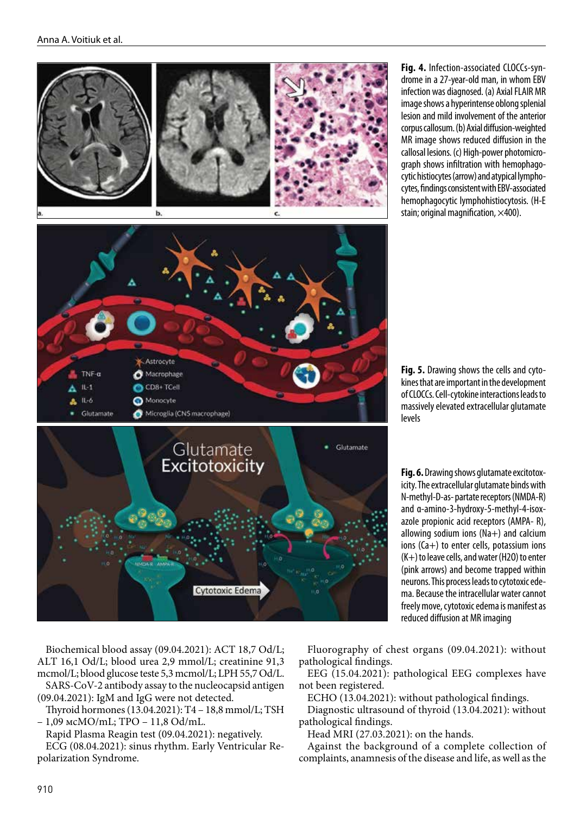

**Fig. 4.** Infection-associated CLOCCs-syndrome in a 27-year-old man, in whom EBV infection was diagnosed. (a) Axial FLAIR MR image shows a hyperintense oblong splenial lesion and mild involvement of the anterior corpus callosum. (b) Axial diffusion-weighted MR image shows reduced diffusion in the callosal lesions. (c) High-power photomicrograph shows infiltration with hemophagocytic histiocytes (arrow) and atypical lymphocytes, findings consistent with EBV-associated hemophagocytic lymphohistiocytosis. (H-E stain; original magnification,  $\times$ 400).

**Fig. 5.** Drawing shows the cells and cytokines that are important in the development of CLOCCs. Cell-cytokine interactions leads to massively elevated extracellular glutamate levels

**Fig. 6.** Drawing shows glutamate excitotoxicity. The extracellular glutamate binds with N-methyl-D-as- partate receptors (NMDA-R) and α-amino-3-hydroxy-5-methyl-4-isoxazole propionic acid receptors (AMPA- R), allowing sodium ions (Na+) and calcium ions (Ca+) to enter cells, potassium ions (K+) to leave cells, and water (H2O) to enter (pink arrows) and become trapped within neurons. This process leads to cytotoxic edema. Because the intracellular water cannot freely move, cytotoxic edema is manifest as reduced diffusion at MR imaging

Biochemical blood assay (09.04.2021): АСТ 18,7 Оd/L; АLТ 16,1 Оd/L; blood urea 2,9 mmol/L; creatinine 91,3 mcmol/L; blood glucose teste 5,3 mcmol/L; LPH 55,7 Od/L.

SARS-CoV-2 antibody assay to the nucleocapsid antigen (09.04.2021): IgM and IgG were not detected.

Thyroid hormones (13.04.2021): Т4 – 18,8 mmol/L; TSH – 1,09 мcМО/mL; ТPО – 11,8 Оd/mL.

Rapid Plasma Reagin test (09.04.2021): negatively.

ECG (08.04.2021): sinus rhythm. Early Ventricular Repolarization Syndrome.

Fluorography of chest organs (09.04.2021): without pathological findings.

EEG (15.04.2021): pathological EEG complexes have not been registered.

ECHO (13.04.2021): without pathological findings.

Diagnostic ultrasound of thyroid (13.04.2021): without pathological findings.

Head MRI (27.03.2021): on the hands.

Against the background of a complete collection of complaints, anamnesis of the disease and life, as well as the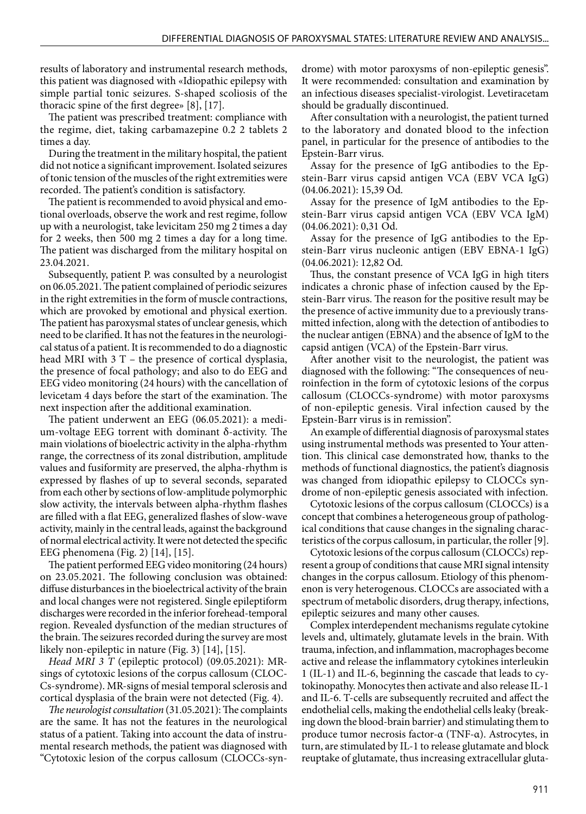results of laboratory and instrumental research methods, this patient was diagnosed with «Idiopathic epilepsy with simple partial tonic seizures. S-shaped scoliosis of the thoracic spine of the first degree» [8], [17].

The patient was prescribed treatment: compliance with the regime, diet, taking carbamazepine 0.2 2 tablets 2 times a day.

During the treatment in the military hospital, the patient did not notice a significant improvement. Isolated seizures of tonic tension of the muscles of the right extremities were recorded. The patient's condition is satisfactory.

The patient is recommended to avoid physical and emotional overloads, observe the work and rest regime, follow up with a neurologist, take levicitam 250 mg 2 times a day for 2 weeks, then 500 mg 2 times a day for a long time. The patient was discharged from the military hospital on 23.04.2021.

Subsequently, patient P. was consulted by a neurologist on 06.05.2021. The patient complained of periodic seizures in the right extremities in the form of muscle contractions, which are provoked by emotional and physical exertion. The patient has paroxysmal states of unclear genesis, which need to be clarified. It has not the features in the neurological status of a patient. It is recommended to do a diagnostic head MRI with 3 T – the presence of cortical dysplasia, the presence of focal pathology; and also to do EEG and EEG video monitoring (24 hours) with the cancellation of levicetam 4 days before the start of the examination. The next inspection after the additional examination.

The patient underwent an EEG (06.05.2021): a medium-voltage EEG torrent with dominant δ-activity. The main violations of bioelectric activity in the alpha-rhythm range, the correctness of its zonal distribution, amplitude values and fusiformity are preserved, the alpha-rhythm is expressed by flashes of up to several seconds, separated from each other by sections of low-amplitude polymorphic slow activity, the intervals between alpha-rhythm flashes are filled with a flat EEG, generalized flashes of slow-wave activity, mainly in the central leads, against the background of normal electrical activity. It were not detected the specific EEG phenomena (Fig. 2) [14], [15].

The patient performed EEG video monitoring (24 hours) on 23.05.2021. The following conclusion was obtained: diffuse disturbances in the bioelectrical activity of the brain and local changes were not registered. Single epileptiform discharges were recorded in the inferior forehead-temporal region. Revealed dysfunction of the median structures of the brain. The seizures recorded during the survey are most likely non-epileptic in nature (Fig. 3) [14], [15].

*Head MRI 3 Т* (epileptic protocol) (09.05.2021): MRsings of cytotoxic lesions of the corpus callosum (CLOC-Cs-syndrome). MR-signs of mesial temporal sclerosis and cortical dysplasia of the brain were not detected (Fig. 4).

*The neurologist consultation* (31.05.2021): The complaints are the same. It has not the features in the neurological status of a patient. Taking into account the data of instrumental research methods, the patient was diagnosed with "Cytotoxic lesion of the corpus callosum (CLOCCs-syndrome) with motor paroxysms of non-epileptic genesis". It were recommended: consultation and examination by an infectious diseases specialist-virologist. Levetiracetam should be gradually discontinued.

After consultation with a neurologist, the patient turned to the laboratory and donated blood to the infection panel, in particular for the presence of antibodies to the Epstein-Barr virus.

Assay for the presence of IgG antibodies to the Epstein-Barr virus capsid antigen VCA (EBV VCA IgG) (04.06.2021): 15,39 Оd.

Assay for the presence of IgM antibodies to the Epstein-Barr virus capsid antigen VCA (EBV VCA IgM) (04.06.2021): 0,31 Оd.

Assay for the presence of IgG antibodies to the Epstein-Barr virus nucleonic antigen (EBV EBNA-1 IgG) (04.06.2021): 12,82 Оd.

Thus, the constant presence of VCA IgG in high titers indicates a chronic phase of infection caused by the Epstein-Barr virus. The reason for the positive result may be the presence of active immunity due to a previously transmitted infection, along with the detection of antibodies to the nuclear antigen (EBNA) and the absence of IgM to the capsid antigen (VCA) of the Epstein-Barr virus.

After another visit to the neurologist, the patient was diagnosed with the following: "The consequences of neuroinfection in the form of cytotoxic lesions of the corpus callosum (CLOCCs-syndrome) with motor paroxysms of non-epileptic genesis. Viral infection caused by the Epstein-Barr virus is in remission".

An example of differential diagnosis of paroxysmal states using instrumental methods was presented to Your attention. This clinical case demonstrated how, thanks to the methods of functional diagnostics, the patient's diagnosis was changed from idiopathic epilepsy to CLOCCs syndrome of non-epileptic genesis associated with infection.

Cytotoxic lesions of the corpus callosum (CLOCCs) is a concept that combines a heterogeneous group of pathological conditions that cause changes in the signaling characteristics of the corpus callosum, in particular, the roller [9].

Cytotoxic lesions of the corpus callosum (CLOCCs) represent a group of conditions that cause MRI signal intensity changes in the corpus callosum. Etiology of this phenomenon is very heterogenous. CLOCCs are associated with a spectrum of metabolic disorders, drug therapy, infections, epileptic seizures and many other causes.

Complex interdependent mechanisms regulate cytokine levels and, ultimately, glutamate levels in the brain. With trauma, infection, and inflammation, macrophages become active and release the inflammatory cytokines interleukin 1 (IL-1) and IL-6, beginning the cascade that leads to cytokinopathy. Monocytes then activate and also release IL-1 and IL-6. T-cells are subsequently recruited and affect the endothelial cells, making the endothelial cells leaky (breaking down the blood-brain barrier) and stimulating them to produce tumor necrosis factor-α (TNF-α). Astrocytes, in turn, are stimulated by IL-1 to release glutamate and block reuptake of glutamate, thus increasing extracellular gluta-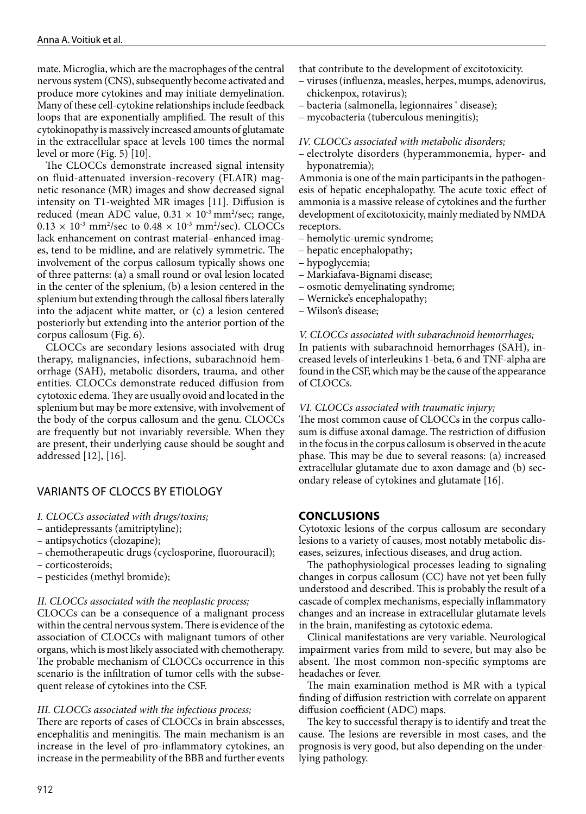mate. Microglia, which are the macrophages of the central nervous system (CNS), subsequently become activated and produce more cytokines and may initiate demyelination. Many of these cell-cytokine relationships include feedback loops that are exponentially amplified. The result of this cytokinopathy is massively increased amounts of glutamate in the extracellular space at levels 100 times the normal level or more (Fig. 5) [10].

The CLOCCs demonstrate increased signal intensity on fluid-attenuated inversion-recovery (FLAIR) magnetic resonance (MR) images and show decreased signal intensity on T1-weighted MR images [11]. Diffusion is reduced (mean ADC value,  $0.31 \times 10^{-3}$  mm<sup>2</sup>/sec; range,  $0.13 \times 10^{-3}$  mm<sup>2</sup>/sec to  $0.48 \times 10^{-3}$  mm<sup>2</sup>/sec). CLOCCs lack enhancement on contrast material–enhanced images, tend to be midline, and are relatively symmetric. The involvement of the corpus callosum typically shows one of three patterns: (a) a small round or oval lesion located in the center of the splenium, (b) a lesion centered in the splenium but extending through the callosal fibers laterally into the adjacent white matter, or (c) a lesion centered posteriorly but extending into the anterior portion of the corpus callosum (Fig. 6).

CLOCCs are secondary lesions associated with drug therapy, malignancies, infections, subarachnoid hemorrhage (SAH), metabolic disorders, trauma, and other entities. CLOCCs demonstrate reduced diffusion from cytotoxic edema. They are usually ovoid and located in the splenium but may be more extensive, with involvement of the body of the corpus callosum and the genu. CLOCCs are frequently but not invariably reversible. When they are present, their underlying cause should be sought and addressed [12], [16].

### VARIANTS OF CLOCCS BY ETIOLOGY

- *I. CLOCCs associated with drugs/toxins;*
- antidepressants (amitriptyline);
- antipsychotics (clozapine);
- chemotherapeutic drugs (cyclosporine, fluorouracil);
- corticosteroids;
- pesticides (methyl bromide);

#### *II. CLOCCs associated with the neoplastic process;*

СLOCCs can be a consequence of a malignant process within the central nervous system. There is evidence of the association of CLOCCs with malignant tumors of other organs, which is most likely associated with chemotherapy. The probable mechanism of CLOCCs occurrence in this scenario is the infiltration of tumor cells with the subsequent release of cytokines into the CSF.

#### *III. CLOCCs associated with the infectious process;*

There are reports of cases of CLOCCs in brain abscesses, encephalitis and meningitis. The main mechanism is an increase in the level of pro-inflammatory cytokines, an increase in the permeability of the BBB and further events that contribute to the development of excitotoxicity.

- viruses (influenza, measles, herpes, mumps, adenovirus, chickenpox, rotavirus);
- bacteria (salmonella, legionnaires ' disease);
- mycobacteria (tuberculous meningitis);

#### *IV. CLOCCs associated with metabolic disorders;*

– electrolyte disorders (hyperammonemia, hyper- and hyponatremia);

Ammonia is one of the main participants in the pathogenesis of hepatic encephalopathy. The acute toxic effect of ammonia is a massive release of cytokines and the further development of excitotoxicity, mainly mediated by NMDA receptors.

- hemolytic-uremic syndrome;
- hepatic encephalopathy;
- hypoglycemia;
- Markiafava-Bignami disease;
- osmotic demyelinating syndrome;
- Wernicke's encephalopathy;
- Wilson's disease;

#### *V. CLOCCs associated with subarachnoid hemorrhages;*

In patients with subarachnoid hemorrhages (SAH), increased levels of interleukins 1-beta, 6 and TNF-alpha are found in the CSF, which may be the cause of the appearance of CLOCCs.

#### *VI. CLOCCs associated with traumatic injury;*

The most common cause of CLOCCs in the corpus callosum is diffuse axonal damage. The restriction of diffusion in the focus in the corpus callosum is observed in the acute phase. This may be due to several reasons: (a) increased extracellular glutamate due to axon damage and (b) secondary release of cytokines and glutamate [16].

#### **CONCLUSIONS**

Cytotoxic lesions of the corpus callosum are secondary lesions to a variety of causes, most notably metabolic diseases, seizures, infectious diseases, and drug action.

The pathophysiological processes leading to signaling changes in corpus callosum (CC) have not yet been fully understood and described. This is probably the result of a cascade of complex mechanisms, especially inflammatory changes and an increase in extracellular glutamate levels in the brain, manifesting as cytotoxic edema.

Clinical manifestations are very variable. Neurological impairment varies from mild to severe, but may also be absent. The most common non-specific symptoms are headaches or fever.

The main examination method is MR with a typical finding of diffusion restriction with correlate on apparent diffusion coefficient (ADC) maps.

The key to successful therapy is to identify and treat the cause. The lesions are reversible in most cases, and the prognosis is very good, but also depending on the underlying pathology.